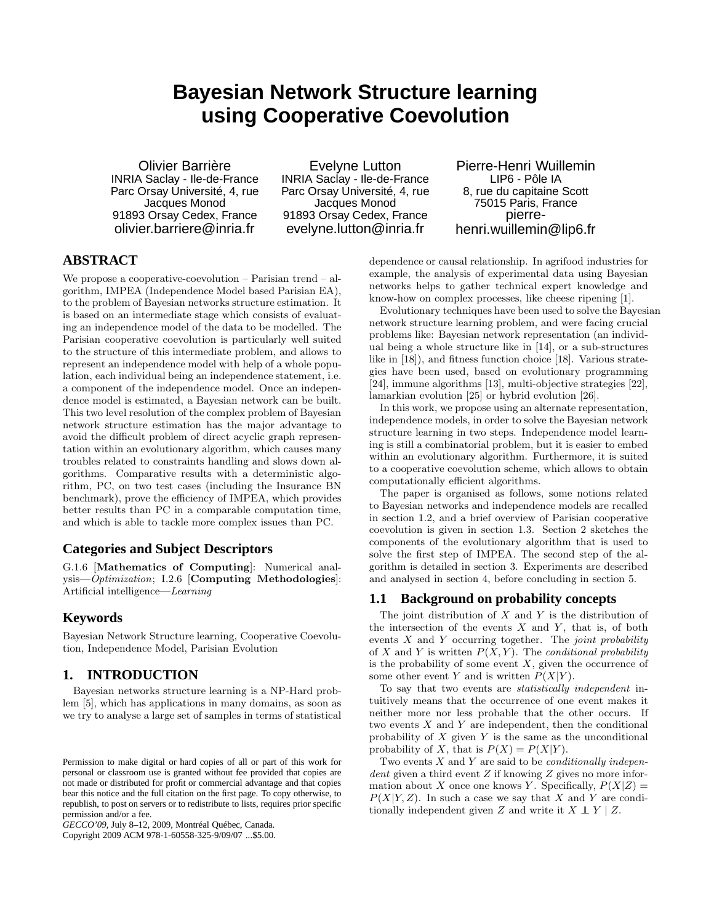# **Bayesian Network Structure learning using Cooperative Coevolution**

Olivier Barrière INRIA Saclay - Ile-de-France Parc Orsay Université, 4, rue Jacques Monod 91893 Orsay Cedex, France olivier.barriere@inria.fr

Evelyne Lutton INRIA Saclay - Ile-de-France Parc Orsay Université, 4, rue Jacques Monod 91893 Orsay Cedex, France evelyne.lutton@inria.fr

Pierre-Henri Wuillemin LIP6 - Pôle IA 8, rue du capitaine Scott 75015 Paris, France pierrehenri.wuillemin@lip6.fr

# **ABSTRACT**

We propose a cooperative-coevolution – Parisian trend – algorithm, IMPEA (Independence Model based Parisian EA), to the problem of Bayesian networks structure estimation. It is based on an intermediate stage which consists of evaluating an independence model of the data to be modelled. The Parisian cooperative coevolution is particularly well suited to the structure of this intermediate problem, and allows to represent an independence model with help of a whole population, each individual being an independence statement, i.e. a component of the independence model. Once an independence model is estimated, a Bayesian network can be built. This two level resolution of the complex problem of Bayesian network structure estimation has the major advantage to avoid the difficult problem of direct acyclic graph representation within an evolutionary algorithm, which causes many troubles related to constraints handling and slows down algorithms. Comparative results with a deterministic algorithm, PC, on two test cases (including the Insurance BN benchmark), prove the efficiency of IMPEA, which provides better results than PC in a comparable computation time, and which is able to tackle more complex issues than PC.

## **Categories and Subject Descriptors**

G.1.6 [Mathematics of Computing]: Numerical analysis—Optimization; I.2.6 [Computing Methodologies]: Artificial intelligence—Learning

## **Keywords**

Bayesian Network Structure learning, Cooperative Coevolution, Independence Model, Parisian Evolution

# **1. INTRODUCTION**

Bayesian networks structure learning is a NP-Hard problem [5], which has applications in many domains, as soon as we try to analyse a large set of samples in terms of statistical

Copyright 2009 ACM 978-1-60558-325-9/09/07 ...\$5.00.

dependence or causal relationship. In agrifood industries for example, the analysis of experimental data using Bayesian networks helps to gather technical expert knowledge and know-how on complex processes, like cheese ripening [1].

Evolutionary techniques have been used to solve the Bayesian network structure learning problem, and were facing crucial problems like: Bayesian network representation (an individual being a whole structure like in [14], or a sub-structures like in [18]), and fitness function choice [18]. Various strategies have been used, based on evolutionary programming [24], immune algorithms [13], multi-objective strategies [22], lamarkian evolution [25] or hybrid evolution [26].

In this work, we propose using an alternate representation, independence models, in order to solve the Bayesian network structure learning in two steps. Independence model learning is still a combinatorial problem, but it is easier to embed within an evolutionary algorithm. Furthermore, it is suited to a cooperative coevolution scheme, which allows to obtain computationally efficient algorithms.

The paper is organised as follows, some notions related to Bayesian networks and independence models are recalled in section 1.2, and a brief overview of Parisian cooperative coevolution is given in section 1.3. Section 2 sketches the components of the evolutionary algorithm that is used to solve the first step of IMPEA. The second step of the algorithm is detailed in section 3. Experiments are described and analysed in section 4, before concluding in section 5.

#### **1.1 Background on probability concepts**

The joint distribution of  $X$  and  $Y$  is the distribution of the intersection of the events  $X$  and  $Y$ , that is, of both events  $X$  and  $Y$  occurring together. The *joint probability* of X and Y is written  $P(X, Y)$ . The conditional probability is the probability of some event  $X$ , given the occurrence of some other event Y and is written  $P(X|Y)$ .

To say that two events are statistically independent intuitively means that the occurrence of one event makes it neither more nor less probable that the other occurs. If two events  $X$  and  $Y$  are independent, then the conditional probability of  $X$  given  $Y$  is the same as the unconditional probability of X, that is  $P(X) = P(X|Y)$ .

Two events  $X$  and  $Y$  are said to be *conditionally indepen*dent given a third event  $Z$  if knowing  $Z$  gives no more information about X once one knows Y. Specifically,  $P(X|Z) =$  $P(X|Y, Z)$ . In such a case we say that X and Y are conditionally independent given Z and write it  $X \perp Y \mid Z$ .

Permission to make digital or hard copies of all or part of this work for personal or classroom use is granted without fee provided that copies are not made or distributed for profit or commercial advantage and that copies bear this notice and the full citation on the first page. To copy otherwise, to republish, to post on servers or to redistribute to lists, requires prior specific permission and/or a fee.

*GECCO'09,* July 8–12, 2009, Montréal Québec, Canada.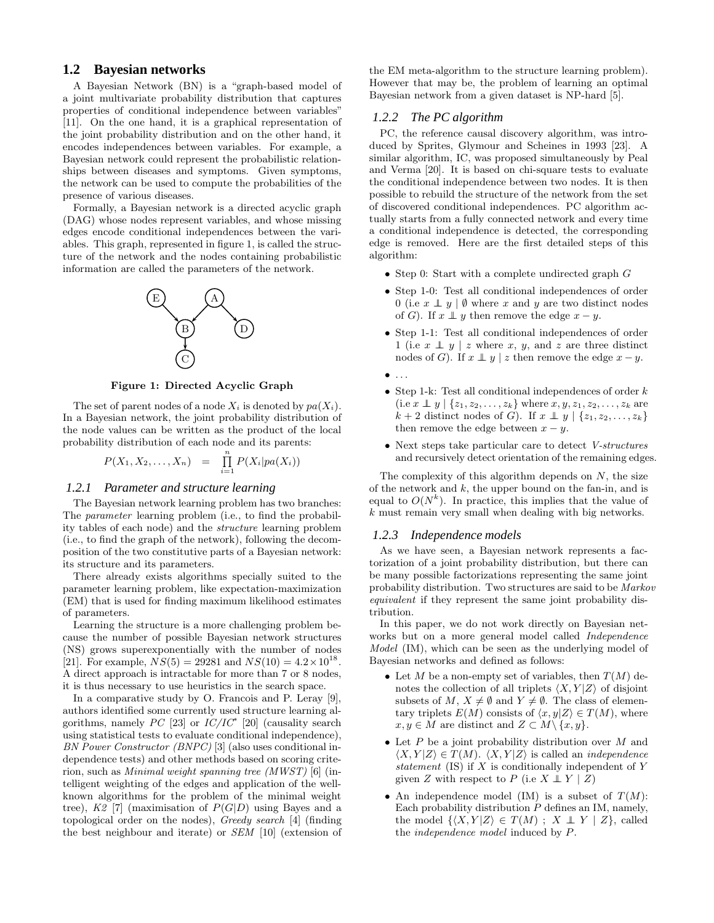## **1.2 Bayesian networks**

A Bayesian Network (BN) is a "graph-based model of a joint multivariate probability distribution that captures properties of conditional independence between variables" [11]. On the one hand, it is a graphical representation of the joint probability distribution and on the other hand, it encodes independences between variables. For example, a Bayesian network could represent the probabilistic relationships between diseases and symptoms. Given symptoms, the network can be used to compute the probabilities of the presence of various diseases.

Formally, a Bayesian network is a directed acyclic graph (DAG) whose nodes represent variables, and whose missing edges encode conditional independences between the variables. This graph, represented in figure 1, is called the structure of the network and the nodes containing probabilistic information are called the parameters of the network.



Figure 1: Directed Acyclic Graph

The set of parent nodes of a node  $X_i$  is denoted by  $pa(X_i)$ . In a Bayesian network, the joint probability distribution of the node values can be written as the product of the local probability distribution of each node and its parents:

$$
P(X_1, X_2, \ldots, X_n) = \prod_{i=1}^n P(X_i | pa(X_i))
$$

#### *1.2.1 Parameter and structure learning*

The Bayesian network learning problem has two branches: The parameter learning problem (i.e., to find the probability tables of each node) and the structure learning problem (i.e., to find the graph of the network), following the decomposition of the two constitutive parts of a Bayesian network: its structure and its parameters.

There already exists algorithms specially suited to the parameter learning problem, like expectation-maximization (EM) that is used for finding maximum likelihood estimates of parameters.

Learning the structure is a more challenging problem because the number of possible Bayesian network structures (NS) grows superexponentially with the number of nodes [21]. For example,  $NS(5) = 29281$  and  $NS(10) = 4.2 \times 10^{18}$ . A direct approach is intractable for more than 7 or 8 nodes, it is thus necessary to use heuristics in the search space.

In a comparative study by O. Francois and P. Leray [9], authors identified some currently used structure learning algorithms, namely PC [23] or  $IC/IC^*$  [20] (causality search using statistical tests to evaluate conditional independence), BN Power Constructor (BNPC) [3] (also uses conditional independence tests) and other methods based on scoring criterion, such as Minimal weight spanning tree (MWST) [6] (intelligent weighting of the edges and application of the wellknown algorithms for the problem of the minimal weight tree),  $K2$  [7] (maximisation of  $P(G|D)$  using Bayes and a topological order on the nodes), Greedy search [4] (finding the best neighbour and iterate) or SEM [10] (extension of the EM meta-algorithm to the structure learning problem). However that may be, the problem of learning an optimal Bayesian network from a given dataset is NP-hard [5].

### *1.2.2 The PC algorithm*

PC, the reference causal discovery algorithm, was introduced by Sprites, Glymour and Scheines in 1993 [23]. A similar algorithm, IC, was proposed simultaneously by Peal and Verma [20]. It is based on chi-square tests to evaluate the conditional independence between two nodes. It is then possible to rebuild the structure of the network from the set of discovered conditional independences. PC algorithm actually starts from a fully connected network and every time a conditional independence is detected, the corresponding edge is removed. Here are the first detailed steps of this algorithm:

- Step 0: Start with a complete undirected graph  $G$
- Step 1-0: Test all conditional independences of order 0 (i.e  $x \perp y \mid \emptyset$  where x and y are two distinct nodes of G). If  $x \perp y$  then remove the edge  $x - y$ .
- Step 1-1: Test all conditional independences of order 1 (i.e  $x \perp y \mid z$  where  $x, y$ , and  $z$  are three distinct nodes of G). If  $x \perp y \mid z$  then remove the edge  $x - y$ .
- $\bullet$  ...
- Step 1-k: Test all conditional independences of order  $k$ (i.e  $x \perp y \mid \{z_1, z_2, \ldots, z_k\}$  where  $x, y, z_1, z_2, \ldots, z_k$  are  $k + 2$  distinct nodes of G). If  $x \perp y \mid \{z_1, z_2, \ldots, z_k\}$ then remove the edge between  $x - y$ .
- Next steps take particular care to detect V-structures and recursively detect orientation of the remaining edges.

The complexity of this algorithm depends on  $N$ , the size of the network and  $k$ , the upper bound on the fan-in, and is equal to  $O(N^k)$ . In practice, this implies that the value of k must remain very small when dealing with big networks.

#### *1.2.3 Independence models*

As we have seen, a Bayesian network represents a factorization of a joint probability distribution, but there can be many possible factorizations representing the same joint probability distribution. Two structures are said to be Markov equivalent if they represent the same joint probability distribution.

In this paper, we do not work directly on Bayesian networks but on a more general model called Independence Model (IM), which can be seen as the underlying model of Bayesian networks and defined as follows:

- Let M be a non-empty set of variables, then  $T(M)$  denotes the collection of all triplets  $\langle X, Y | Z \rangle$  of disjoint subsets of M,  $X \neq \emptyset$  and  $Y \neq \emptyset$ . The class of elementary triplets  $E(M)$  consists of  $\langle x, y|Z \rangle \in T(M)$ , where  $x, y \in M$  are distinct and  $Z \subset M \setminus \{x, y\}.$
- Let  $P$  be a joint probability distribution over  $M$  and  $\langle X, Y | Z \rangle \in T(M)$ .  $\langle X, Y | Z \rangle$  is called an *independence* statement  $(IS)$  if X is conditionally independent of Y given Z with respect to P (i.e  $X \perp Y \mid Z$ )
- An independence model (IM) is a subset of  $T(M)$ : Each probability distribution  $P$  defines an IM, namely, the model  $\{X, Y | Z \in T(M) ; X \perp Y | Z\}$ , called the independence model induced by P.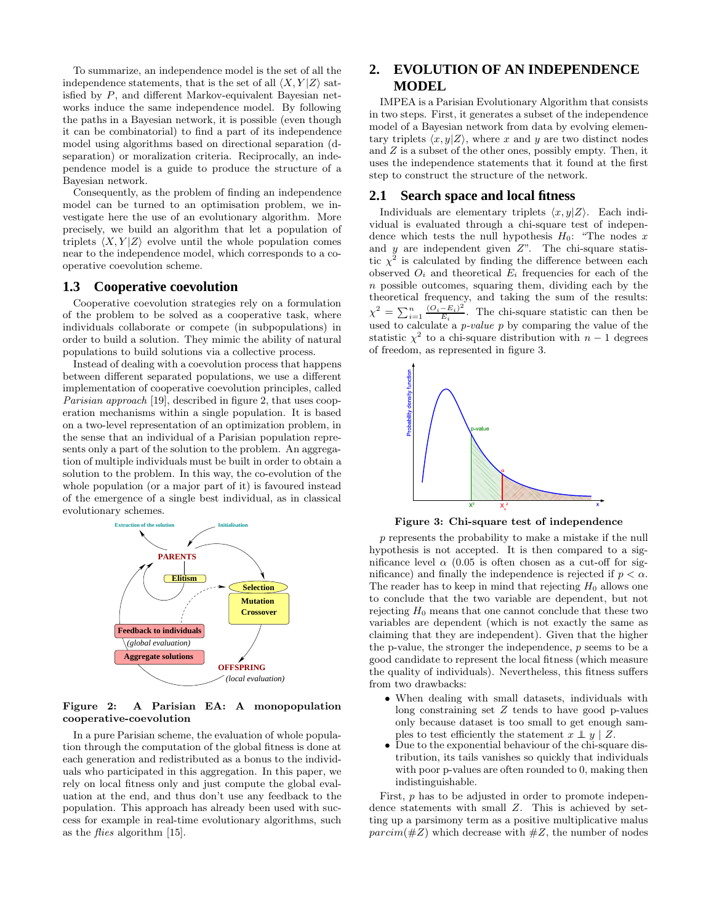To summarize, an independence model is the set of all the independence statements, that is the set of all  $\langle X, Y | Z \rangle$  satisfied by P, and different Markov-equivalent Bayesian networks induce the same independence model. By following the paths in a Bayesian network, it is possible (even though it can be combinatorial) to find a part of its independence model using algorithms based on directional separation (dseparation) or moralization criteria. Reciprocally, an independence model is a guide to produce the structure of a Bayesian network.

Consequently, as the problem of finding an independence model can be turned to an optimisation problem, we investigate here the use of an evolutionary algorithm. More precisely, we build an algorithm that let a population of triplets  $\langle X, Y | Z \rangle$  evolve until the whole population comes near to the independence model, which corresponds to a cooperative coevolution scheme.

#### **1.3 Cooperative coevolution**

Cooperative coevolution strategies rely on a formulation of the problem to be solved as a cooperative task, where individuals collaborate or compete (in subpopulations) in order to build a solution. They mimic the ability of natural populations to build solutions via a collective process.

Instead of dealing with a coevolution process that happens between different separated populations, we use a different implementation of cooperative coevolution principles, called Parisian approach [19], described in figure 2, that uses cooperation mechanisms within a single population. It is based on a two-level representation of an optimization problem, in the sense that an individual of a Parisian population represents only a part of the solution to the problem. An aggregation of multiple individuals must be built in order to obtain a solution to the problem. In this way, the co-evolution of the whole population (or a major part of it) is favoured instead of the emergence of a single best individual, as in classical evolutionary schemes.



#### Figure 2: A Parisian EA: A monopopulation cooperative-coevolution

In a pure Parisian scheme, the evaluation of whole population through the computation of the global fitness is done at each generation and redistributed as a bonus to the individuals who participated in this aggregation. In this paper, we rely on local fitness only and just compute the global evaluation at the end, and thus don't use any feedback to the population. This approach has already been used with success for example in real-time evolutionary algorithms, such as the flies algorithm [15].

# **2. EVOLUTION OF AN INDEPENDENCE MODEL**

IMPEA is a Parisian Evolutionary Algorithm that consists in two steps. First, it generates a subset of the independence model of a Bayesian network from data by evolving elementary triplets  $\langle x, y|Z \rangle$ , where x and y are two distinct nodes and Z is a subset of the other ones, possibly empty. Then, it uses the independence statements that it found at the first step to construct the structure of the network.

#### **2.1 Search space and local fitness**

Individuals are elementary triplets  $\langle x, y|Z \rangle$ . Each individual is evaluated through a chi-square test of independence which tests the null hypothesis  $H_0$ : "The nodes x and  $y$  are independent given  $Z$ ". The chi-square statistic  $\chi^2$  is calculated by finding the difference between each observed  $O_i$  and theoretical  $E_i$  frequencies for each of the  $n$  possible outcomes, squaring them, dividing each by the theoretical frequency, and taking the sum of the results:  $\chi^2 = \sum_{i=1}^n \frac{(O_i - E_i)^2}{E_i}$  $\frac{-E_i}{E_i}$ . The chi-square statistic can then be used to calculate a  $p$ -value  $p$  by comparing the value of the statistic  $\chi^2$  to a chi-square distribution with  $n-1$  degrees of freedom, as represented in figure 3.



Figure 3: Chi-square test of independence

p represents the probability to make a mistake if the null hypothesis is not accepted. It is then compared to a significance level  $\alpha$  (0.05 is often chosen as a cut-off for significance) and finally the independence is rejected if  $p < \alpha$ . The reader has to keep in mind that rejecting  $H_0$  allows one to conclude that the two variable are dependent, but not rejecting  $H_0$  means that one cannot conclude that these two variables are dependent (which is not exactly the same as claiming that they are independent). Given that the higher the p-value, the stronger the independence,  $p$  seems to be a good candidate to represent the local fitness (which measure the quality of individuals). Nevertheless, this fitness suffers from two drawbacks:

- When dealing with small datasets, individuals with long constraining set  $Z$  tends to have good p-values only because dataset is too small to get enough samples to test efficiently the statement  $x \perp y \mid Z$ .
- Due to the exponential behaviour of the chi-square distribution, its tails vanishes so quickly that individuals with poor p-values are often rounded to 0, making then indistinguishable.

First, p has to be adjusted in order to promote independence statements with small Z. This is achieved by setting up a parsimony term as a positive multiplicative malus  $param(\#Z)$  which decrease with  $\#Z$ , the number of nodes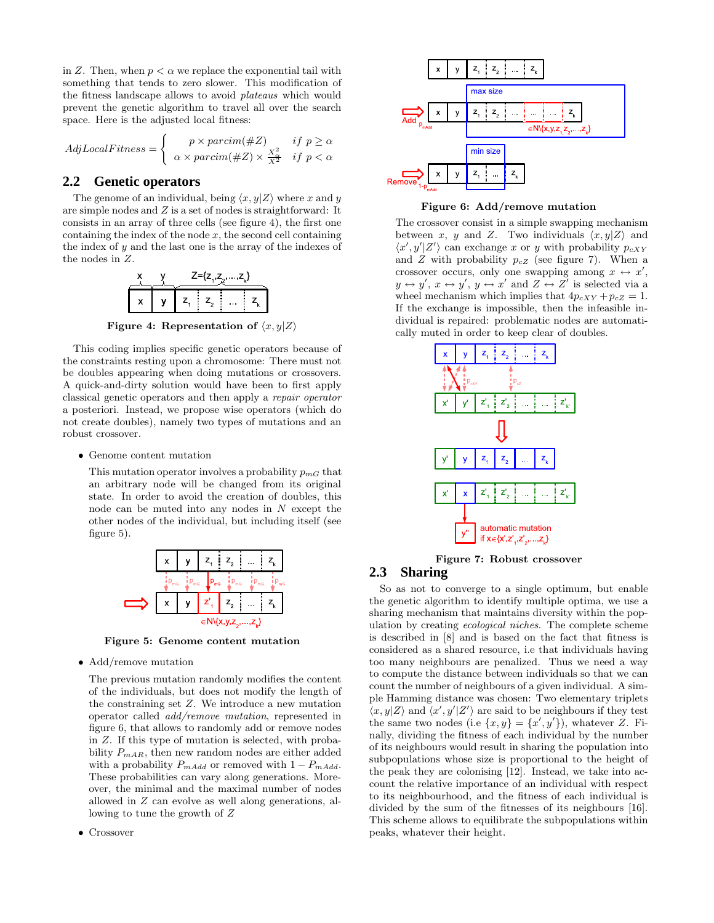in Z. Then, when  $p < \alpha$  we replace the exponential tail with something that tends to zero slower. This modification of the fitness landscape allows to avoid plateaus which would prevent the genetic algorithm to travel all over the search space. Here is the adjusted local fitness:

$$
AdjLocalFitness = \begin{cases} p \times \text{param}(\#Z) & \text{if } p \ge \alpha \\ \alpha \times \text{param}(\#Z) \times \frac{X_{\alpha}^2}{X^2} & \text{if } p < \alpha \end{cases}
$$

## **2.2 Genetic operators**

The genome of an individual, being  $\langle x, y|Z \rangle$  where x and y are simple nodes and Z is a set of nodes is straightforward: It consists in an array of three cells (see figure 4), the first one containing the index of the node  $x$ , the second cell containing the index of  $y$  and the last one is the array of the indexes of the nodes in Z.

$$
\begin{array}{c|c}\nx & y & Z=\{z_1, z_2, \ldots, z_k\} \\
\hline\nx & y & z_1 \stackrel{\cdots}{\vdots} z_2 \stackrel{\cdots}{\vdots} \ldots \stackrel{\cdots}{\vdots} z_k\n\end{array}
$$

Figure 4: Representation of  $\langle x, y|Z\rangle$ 

This coding implies specific genetic operators because of the constraints resting upon a chromosome: There must not be doubles appearing when doing mutations or crossovers. A quick-and-dirty solution would have been to first apply classical genetic operators and then apply a repair operator a posteriori. Instead, we propose wise operators (which do not create doubles), namely two types of mutations and an robust crossover.

• Genome content mutation

This mutation operator involves a probability  $p_{mG}$  that an arbitrary node will be changed from its original state. In order to avoid the creation of doubles, this node can be muted into any nodes in  $N$  except the other nodes of the individual, but including itself (see figure 5).



Figure 5: Genome content mutation

• Add/remove mutation

The previous mutation randomly modifies the content of the individuals, but does not modify the length of the constraining set Z. We introduce a new mutation operator called add/remove mutation, represented in figure 6, that allows to randomly add or remove nodes in Z. If this type of mutation is selected, with probability  $P_{mAR}$ , then new random nodes are either added with a probability  $P_{mAdd}$  or removed with  $1 - P_{mAdd}$ . These probabilities can vary along generations. Moreover, the minimal and the maximal number of nodes allowed in Z can evolve as well along generations, allowing to tune the growth of Z





Figure 6: Add/remove mutation

The crossover consist in a simple swapping mechanism between x, y and Z. Two individuals  $\langle x, y|Z \rangle$  and  $\langle x', y'|Z'\rangle$  can exchange x or y with probability  $p_{cXY}$ and  $Z$  with probability  $p_{cZ}$  (see figure 7). When a crossover occurs, only one swapping among  $x \leftrightarrow x'$ ,  $y \leftrightarrow y', x \leftrightarrow y', y \leftrightarrow x'$  and  $Z \leftrightarrow Z'$  is selected via a wheel mechanism which implies that  $4p_{cXY} + p_{cZ} = 1$ . If the exchange is impossible, then the infeasible individual is repaired: problematic nodes are automatically muted in order to keep clear of doubles.



#### Figure 7: Robust crossover **2.3 Sharing**

So as not to converge to a single optimum, but enable the genetic algorithm to identify multiple optima, we use a sharing mechanism that maintains diversity within the population by creating ecological niches. The complete scheme is described in [8] and is based on the fact that fitness is considered as a shared resource, i.e that individuals having too many neighbours are penalized. Thus we need a way to compute the distance between individuals so that we can count the number of neighbours of a given individual. A simple Hamming distance was chosen: Two elementary triplets  $\langle x, y|Z \rangle$  and  $\langle x', y'|Z' \rangle$  are said to be neighbours if they test the same two nodes (i.e  $\{x, y\} = \{x', y'\}$ ), whatever Z. Finally, dividing the fitness of each individual by the number of its neighbours would result in sharing the population into subpopulations whose size is proportional to the height of the peak they are colonising [12]. Instead, we take into account the relative importance of an individual with respect to its neighbourhood, and the fitness of each individual is divided by the sum of the fitnesses of its neighbours [16]. This scheme allows to equilibrate the subpopulations within peaks, whatever their height.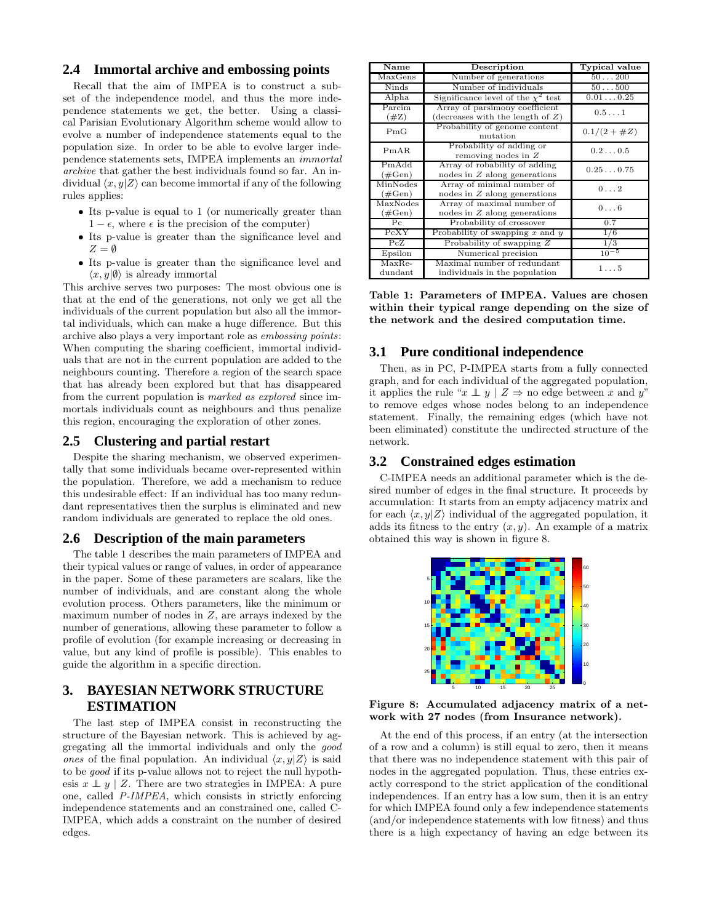## **2.4 Immortal archive and embossing points**

Recall that the aim of IMPEA is to construct a subset of the independence model, and thus the more independence statements we get, the better. Using a classical Parisian Evolutionary Algorithm scheme would allow to evolve a number of independence statements equal to the population size. In order to be able to evolve larger independence statements sets, IMPEA implements an immortal archive that gather the best individuals found so far. An individual  $\langle x, y|Z \rangle$  can become immortal if any of the following rules applies:

- Its p-value is equal to 1 (or numerically greater than  $1 - \epsilon$ , where  $\epsilon$  is the precision of the computer)
- Its p-value is greater than the significance level and  $Z = \emptyset$
- Its p-value is greater than the significance level and  $\langle x, y | \emptyset \rangle$  is already immortal

This archive serves two purposes: The most obvious one is that at the end of the generations, not only we get all the individuals of the current population but also all the immortal individuals, which can make a huge difference. But this archive also plays a very important role as embossing points: When computing the sharing coefficient, immortal individuals that are not in the current population are added to the neighbours counting. Therefore a region of the search space that has already been explored but that has disappeared from the current population is marked as explored since immortals individuals count as neighbours and thus penalize this region, encouraging the exploration of other zones.

# **2.5 Clustering and partial restart**

Despite the sharing mechanism, we observed experimentally that some individuals became over-represented within the population. Therefore, we add a mechanism to reduce this undesirable effect: If an individual has too many redundant representatives then the surplus is eliminated and new random individuals are generated to replace the old ones.

## **2.6 Description of the main parameters**

The table 1 describes the main parameters of IMPEA and their typical values or range of values, in order of appearance in the paper. Some of these parameters are scalars, like the number of individuals, and are constant along the whole evolution process. Others parameters, like the minimum or maximum number of nodes in  $Z$ , are arrays indexed by the number of generations, allowing these parameter to follow a profile of evolution (for example increasing or decreasing in value, but any kind of profile is possible). This enables to guide the algorithm in a specific direction.

# **3. BAYESIAN NETWORK STRUCTURE ESTIMATION**

The last step of IMPEA consist in reconstructing the structure of the Bayesian network. This is achieved by aggregating all the immortal individuals and only the good ones of the final population. An individual  $\langle x, y|Z \rangle$  is said to be good if its p-value allows not to reject the null hypothesis  $x \perp y \mid Z$ . There are two strategies in IMPEA: A pure one, called P-IMPEA, which consists in strictly enforcing independence statements and an constrained one, called C-IMPEA, which adds a constraint on the number of desired edges.

| Name               | Description                             | Typical value    |  |
|--------------------|-----------------------------------------|------------------|--|
| MaxGens            | Number of generations                   | 50200            |  |
| Ninds              | Number of individuals                   | 50500            |  |
| Alpha              | Significance level of the $\chi^2$ test | 0.010.25         |  |
| Parcim             | Array of parsimony coefficient          | 0.51             |  |
| $(\#Z)$            | (decreases with the length of $Z$ )     |                  |  |
| PmG                | Probability of genome content           | $0.1/(2 + \# Z)$ |  |
|                    | mutation                                |                  |  |
| PmAR               | Probability of adding or                | 0.20.5           |  |
|                    | removing nodes in $Z$                   |                  |  |
| PmAdd              | Array of robability of adding           | 0.250.75         |  |
| $(\#\mathsf{Gen})$ | nodes in $Z$ along generations          |                  |  |
| MinNodes           | Array of minimal number of              | $0 \ldots 2$     |  |
| $(\#Gen)$          | nodes in $Z$ along generations          |                  |  |
| MaxNodes           | Array of maximal number of              | $0 \ldots 6$     |  |
| $(\#\mathsf{Gen})$ | nodes in $Z$ along generations          |                  |  |
| $P_{C}$            | Probability of crossover                | 0.7              |  |
| PcXY               | Probability of swapping $x$ and $y$     | 1/6              |  |
| PcZ                | Probability of swapping Z               | 1/3              |  |
| Epsilon            | Numerical precision                     | $10^{-5}$        |  |
| $MaxRe-$           | Maximal number of redundant             | $1 \ldots 5$     |  |
| dundant            | individuals in the population           |                  |  |

Table 1: Parameters of IMPEA. Values are chosen within their typical range depending on the size of the network and the desired computation time.

## **3.1 Pure conditional independence**

Then, as in PC, P-IMPEA starts from a fully connected graph, and for each individual of the aggregated population, it applies the rule " $x \perp y \mid Z \Rightarrow$  no edge between x and y" to remove edges whose nodes belong to an independence statement. Finally, the remaining edges (which have not been eliminated) constitute the undirected structure of the network.

#### **3.2 Constrained edges estimation**

C-IMPEA needs an additional parameter which is the desired number of edges in the final structure. It proceeds by accumulation: It starts from an empty adjacency matrix and for each  $\langle x, y|Z \rangle$  individual of the aggregated population, it adds its fitness to the entry  $(x, y)$ . An example of a matrix obtained this way is shown in figure 8.



Figure 8: Accumulated adjacency matrix of a network with 27 nodes (from Insurance network).

At the end of this process, if an entry (at the intersection of a row and a column) is still equal to zero, then it means that there was no independence statement with this pair of nodes in the aggregated population. Thus, these entries exactly correspond to the strict application of the conditional independences. If an entry has a low sum, then it is an entry for which IMPEA found only a few independence statements (and/or independence statements with low fitness) and thus there is a high expectancy of having an edge between its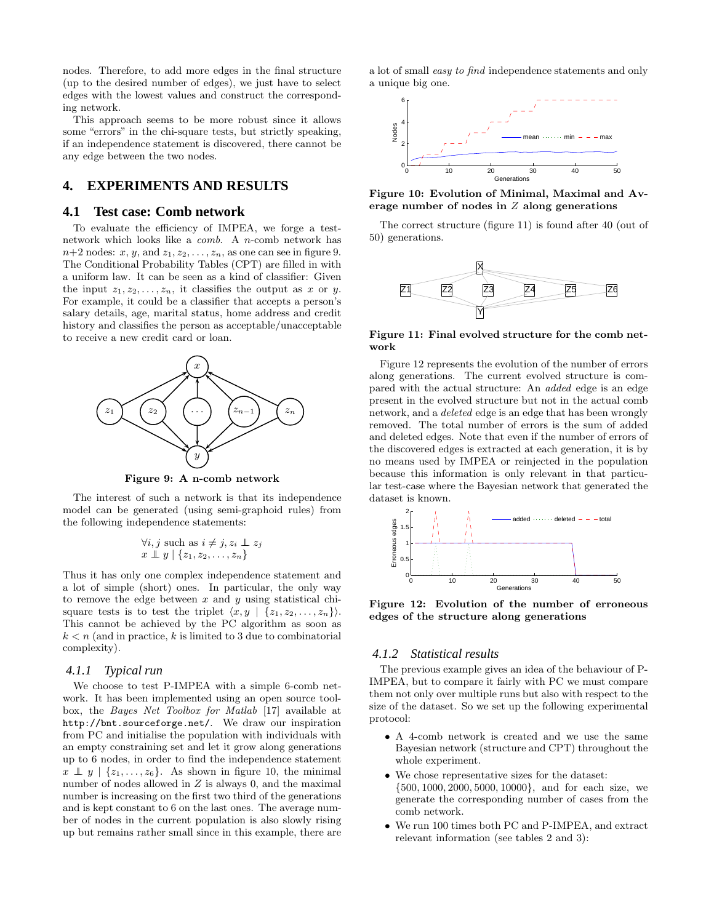nodes. Therefore, to add more edges in the final structure (up to the desired number of edges), we just have to select edges with the lowest values and construct the corresponding network.

This approach seems to be more robust since it allows some "errors" in the chi-square tests, but strictly speaking, if an independence statement is discovered, there cannot be any edge between the two nodes.

# **4. EXPERIMENTS AND RESULTS**

## **4.1 Test case: Comb network**

To evaluate the efficiency of IMPEA, we forge a testnetwork which looks like a comb. A n-comb network has  $n+2$  nodes:  $x, y$ , and  $z_1, z_2, \ldots, z_n$ , as one can see in figure 9. The Conditional Probability Tables (CPT) are filled in with a uniform law. It can be seen as a kind of classifier: Given the input  $z_1, z_2, \ldots, z_n$ , it classifies the output as x or y. For example, it could be a classifier that accepts a person's salary details, age, marital status, home address and credit history and classifies the person as acceptable/unacceptable to receive a new credit card or loan.



Figure 9: A n-comb network

The interest of such a network is that its independence model can be generated (using semi-graphoid rules) from the following independence statements:

$$
\forall i, j \text{ such as } i \neq j, z_i \perp z_j
$$
  

$$
x \perp y \mid \{z_1, z_2, \dots, z_n\}
$$

Thus it has only one complex independence statement and a lot of simple (short) ones. In particular, the only way to remove the edge between  $x$  and  $y$  using statistical chisquare tests is to test the triplet  $\langle x, y | \{z_1, z_2, \ldots, z_n\}\rangle$ . This cannot be achieved by the PC algorithm as soon as  $k < n$  (and in practice, k is limited to 3 due to combinatorial complexity).

#### *4.1.1 Typical run*

We choose to test P-IMPEA with a simple 6-comb network. It has been implemented using an open source toolbox, the Bayes Net Toolbox for Matlab [17] available at http://bnt.sourceforge.net/. We draw our inspiration from PC and initialise the population with individuals with an empty constraining set and let it grow along generations up to 6 nodes, in order to find the independence statement  $x \perp y \mid \{z_1, \ldots, z_6\}$ . As shown in figure 10, the minimal number of nodes allowed in  $Z$  is always 0, and the maximal number is increasing on the first two third of the generations and is kept constant to 6 on the last ones. The average number of nodes in the current population is also slowly rising up but remains rather small since in this example, there are

a lot of small easy to find independence statements and only a unique big one.



Figure 10: Evolution of Minimal, Maximal and Average number of nodes in Z along generations

The correct structure (figure 11) is found after 40 (out of 50) generations.



Figure 11: Final evolved structure for the comb network

Figure 12 represents the evolution of the number of errors along generations. The current evolved structure is compared with the actual structure: An added edge is an edge present in the evolved structure but not in the actual comb network, and a deleted edge is an edge that has been wrongly removed. The total number of errors is the sum of added and deleted edges. Note that even if the number of errors of the discovered edges is extracted at each generation, it is by no means used by IMPEA or reinjected in the population because this information is only relevant in that particular test-case where the Bayesian network that generated the dataset is known.



Figure 12: Evolution of the number of erroneous edges of the structure along generations

#### *4.1.2 Statistical results*

The previous example gives an idea of the behaviour of P-IMPEA, but to compare it fairly with PC we must compare them not only over multiple runs but also with respect to the size of the dataset. So we set up the following experimental protocol:

- A 4-comb network is created and we use the same Bayesian network (structure and CPT) throughout the whole experiment.
- We chose representative sizes for the dataset: {500, 1000, 2000, 5000, 10000}, and for each size, we generate the corresponding number of cases from the comb network.
- We run 100 times both PC and P-IMPEA, and extract relevant information (see tables 2 and 3):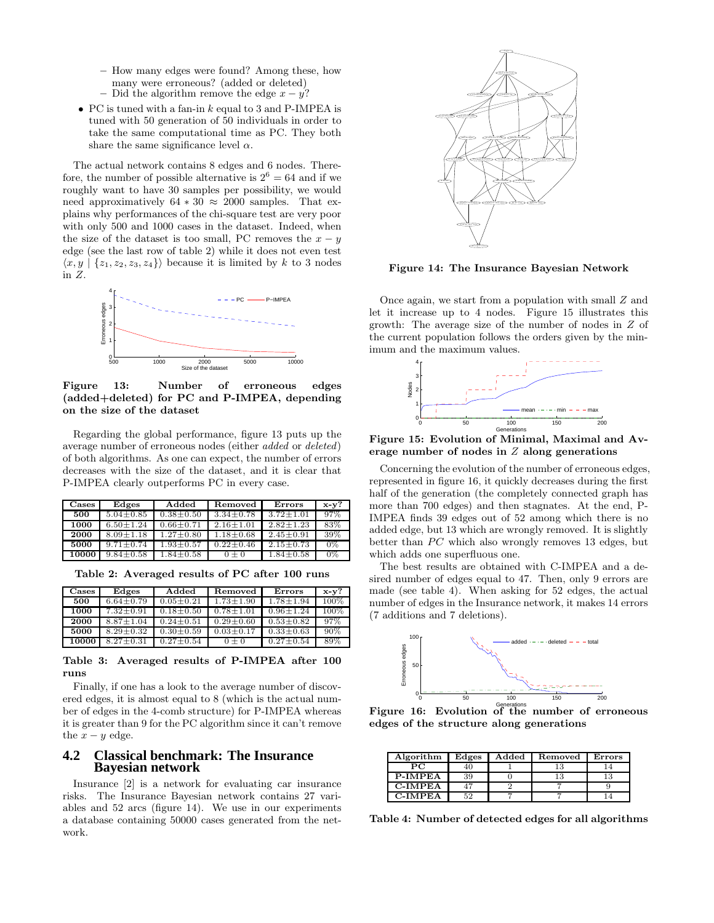- How many edges were found? Among these, how many were erroneous? (added or deleted)
- Did the algorithm remove the edge  $x y$ ?
- PC is tuned with a fan-in  $k$  equal to 3 and P-IMPEA is tuned with 50 generation of 50 individuals in order to take the same computational time as PC. They both share the same significance level  $\alpha$ .

The actual network contains 8 edges and 6 nodes. Therefore, the number of possible alternative is  $2^6 = 64$  and if we roughly want to have 30 samples per possibility, we would need approximatively  $64 * 30 \approx 2000$  samples. That explains why performances of the chi-square test are very poor with only 500 and 1000 cases in the dataset. Indeed, when the size of the dataset is too small, PC removes the  $x - y$ edge (see the last row of table 2) while it does not even test  $\langle x, y | \{z_1, z_2, z_3, z_4\}\rangle$  because it is limited by k to 3 nodes in  $Z$ .



Figure 13: Number of erroneous edges (added+deleted) for PC and P-IMPEA, depending on the size of the dataset

Regarding the global performance, figure 13 puts up the average number of erroneous nodes (either added or deleted) of both algorithms. As one can expect, the number of errors decreases with the size of the dataset, and it is clear that P-IMPEA clearly outperforms PC in every case.

| Cases | Edges           | Added           | Removed       | <b>Errors</b> | $x-v?$ |
|-------|-----------------|-----------------|---------------|---------------|--------|
| 500   | $5.04 \pm 0.85$ | $0.38 \pm 0.50$ | $3.34 + 0.78$ | $3.72 + 1.01$ | 97%    |
| 1000  | $6.50 \pm 1.24$ | $0.66 \pm 0.71$ | $2.16 + 1.01$ | $2.82 + 1.23$ | 83%    |
| 2000  | $8.09 \pm 1.18$ | $1.27 + 0.80$   | $1.18 + 0.68$ | $2.45 + 0.91$ | 39%    |
| 5000  | $9.71 + 0.74$   | $1.93 + 0.57$   | $0.22 + 0.46$ | $2.15 + 0.73$ | $0\%$  |
| 10000 | $9.84 \pm 0.58$ | $1.84 + 0.58$   | $0 + 0$       | $1.84 + 0.58$ | $0\%$  |

Table 2: Averaged results of PC after 100 runs

| Cases | Edges           | Added           | Removed         | Errors          | $x-y$ ? |
|-------|-----------------|-----------------|-----------------|-----------------|---------|
| 500   | $6.64 \pm 0.79$ | $0.05 \pm 0.21$ | $1.73 + 1.90$   | $1.78 \pm 1.94$ | 100%    |
| 1000  | $7.32 + 0.91$   | $0.18 \pm 0.50$ | $0.78 + 1.01$   | $0.96 + 1.24$   | 100%    |
| 2000  | $8.87 + 1.04$   | $0.24 + 0.51$   | $0.29 + 0.60$   | $0.53 + 0.82$   | $97\%$  |
| 5000  | $8.29 \pm 0.32$ | $0.30 \pm 0.59$ | $0.03 \pm 0.17$ | $0.33 \pm 0.63$ | 90%     |
| 10000 | $8.27 + 0.31$   | $0.27 + 0.54$   | $0 + 0$         | $0.27 + 0.54$   | 89%     |

#### Table 3: Averaged results of P-IMPEA after 100 runs

Finally, if one has a look to the average number of discovered edges, it is almost equal to 8 (which is the actual number of edges in the 4-comb structure) for P-IMPEA whereas it is greater than 9 for the PC algorithm since it can't remove the  $x - y$  edge.

## **4.2 Classical benchmark: The Insurance Bayesian network**

Insurance [2] is a network for evaluating car insurance risks. The Insurance Bayesian network contains 27 variables and 52 arcs (figure 14). We use in our experiments a database containing 50000 cases generated from the network.



Figure 14: The Insurance Bayesian Network

Once again, we start from a population with small Z and let it increase up to 4 nodes. Figure 15 illustrates this growth: The average size of the number of nodes in Z of the current population follows the orders given by the minimum and the maximum values.



Figure 15: Evolution of Minimal, Maximal and Average number of nodes in Z along generations

Concerning the evolution of the number of erroneous edges, represented in figure 16, it quickly decreases during the first half of the generation (the completely connected graph has more than 700 edges) and then stagnates. At the end, P-IMPEA finds 39 edges out of 52 among which there is no added edge, but 13 which are wrongly removed. It is slightly better than  $PC$  which also wrongly removes 13 edges, but which adds one superfluous one.

The best results are obtained with C-IMPEA and a desired number of edges equal to 47. Then, only 9 errors are made (see table 4). When asking for 52 edges, the actual number of edges in the Insurance network, it makes 14 errors (7 additions and 7 deletions).



Figure 16: Evolution of the number of erroneous edges of the structure along generations

| Algorithm | Edges | Added | Removed | Errors |
|-----------|-------|-------|---------|--------|
|           |       |       | 13      |        |
| P-IMPEA   |       |       | 13      |        |
| C-IMPEA   |       |       |         |        |
| C-IMPEA   |       |       |         |        |

Table 4: Number of detected edges for all algorithms